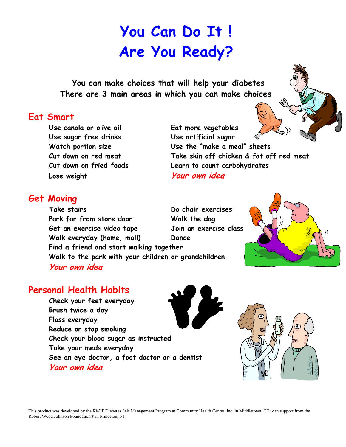## **You Can Do It ! Are You Ready?**

 **You can make choices that will help your diabetes There are 3 main areas in which you can make choices**

## **Eat Smart**

**Use sugar free drinks Use artificial sugar Lose weight Your own idea**

**Use canola or olive oil Eat more vegetables Watch portion size Use the "make a meal" sheets Cut down on red meat Take skin off chicken & fat off red meat Cut down on fried foods Learn to count carbohydrates**

## **Get Moving**

**Take stairs Do chair exercises Park far from store door Walk the dog Get an exercise video tape Join an exercise class Walk everyday (home, mall) Dance Find a friend and start walking together Walk to the park with your children or grandchildren Your own idea**

## **Personal Health Habits**

**Check your feet everyday Brush twice a day Floss everyday Reduce or stop smoking Check your blood sugar as instructed Take your meds everyday See an eye doctor, a foot doctor or a dentist Your own idea**







This product was developed by the RWJF Diabetes Self Management Program at Community Health Center, Inc. in Middletown, CT with support from the Robert Wood Johnson Foundation® in Princeton, NJ.